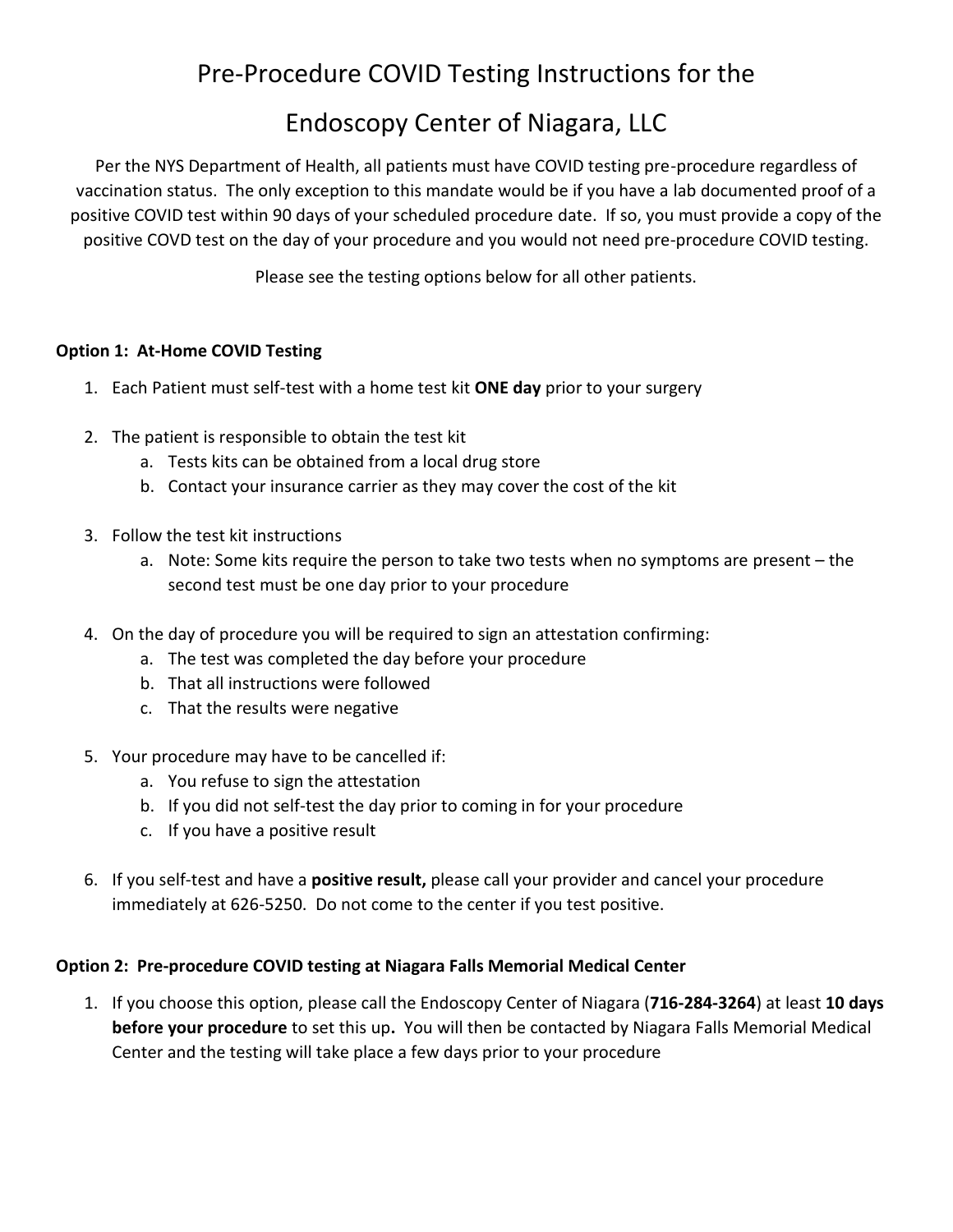## Pre-Procedure COVID Testing Instructions for the

## Endoscopy Center of Niagara, LLC

Per the NYS Department of Health, all patients must have COVID testing pre-procedure regardless of vaccination status. The only exception to this mandate would be if you have a lab documented proof of a positive COVID test within 90 days of your scheduled procedure date. If so, you must provide a copy of the positive COVD test on the day of your procedure and you would not need pre-procedure COVID testing.

Please see the testing options below for all other patients.

## **Option 1: At-Home COVID Testing**

- 1. Each Patient must self-test with a home test kit **ONE day** prior to your surgery
- 2. The patient is responsible to obtain the test kit
	- a. Tests kits can be obtained from a local drug store
	- b. Contact your insurance carrier as they may cover the cost of the kit
- 3. Follow the test kit instructions
	- a. Note: Some kits require the person to take two tests when no symptoms are present the second test must be one day prior to your procedure
- 4. On the day of procedure you will be required to sign an attestation confirming:
	- a. The test was completed the day before your procedure
	- b. That all instructions were followed
	- c. That the results were negative
- 5. Your procedure may have to be cancelled if:
	- a. You refuse to sign the attestation
	- b. If you did not self-test the day prior to coming in for your procedure
	- c. If you have a positive result
- 6. If you self-test and have a **positive result,** please call your provider and cancel your procedure immediately at 626-5250. Do not come to the center if you test positive.

## **Option 2: Pre-procedure COVID testing at Niagara Falls Memorial Medical Center**

1. If you choose this option, please call the Endoscopy Center of Niagara (**716-284-3264**) at least **10 days before your procedure** to set this up**.** You will then be contacted by Niagara Falls Memorial Medical Center and the testing will take place a few days prior to your procedure